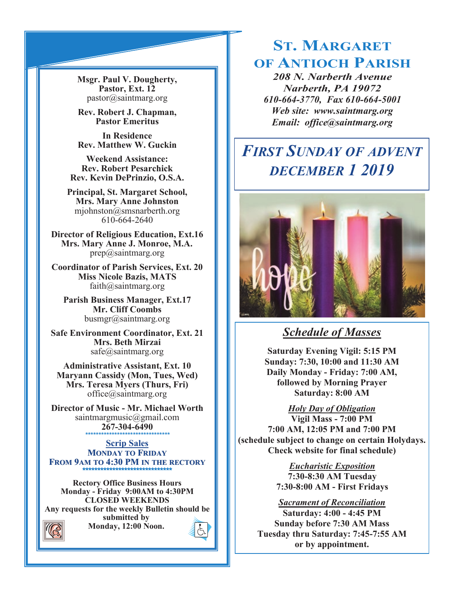**Msgr. Paul V. Dougherty, Pastor, Ext. 12** pastor@saintmarg.org

**Rev. Robert J. Chapman, Pastor Emeritus**

**In Residence Rev. Matthew W. Guckin**

**Weekend Assistance: Rev. Robert Pesarchick Rev. Kevin DePrinzio, O.S.A.**

**Principal, St. Margaret School, Mrs. Mary Anne Johnston**  mjohnston@smsnarberth.org 610-664-2640

**Director of Religious Education, Ext.16 Mrs. Mary Anne J. Monroe, M.A.** prep@saintmarg.org

**Coordinator of Parish Services, Ext. 20 Miss Nicole Bazis, MATS** faith@saintmarg.org

**Parish Business Manager, Ext.17 Mr. Cliff Coombs** busmgr@saintmarg.org

**Safe Environment Coordinator, Ext. 21 Mrs. Beth Mirzai** safe@saintmarg.org

**Administrative Assistant, Ext. 10 Maryann Cassidy (Mon, Tues, Wed) Mrs. Teresa Myers (Thurs, Fri)** office@saintmarg.org

**Director of Music - Mr. Michael Worth** saintmargmusic@gmail.com **267-304-6490** *\*\*\*\*\*\*\*\*\*\*\*\*\*\*\*\*\*\*\*\*\*\*\*\*\*\*\*\*\*\*\*\**

**Scrip Sales MONDAY TO FRIDAY FROM 9AM TO 4:30 PM IN THE RECTORY \*\*\*\*\*\*\*\*\*\*\*\*\*\*\*\*\*\*\*\*\*\*\*\*\*\*\*\*\*\*** 

**Rectory Office Business Hours Monday - Friday 9:00AM to 4:30PM CLOSED WEEKENDS Any requests for the weekly Bulletin should be submitted by Monday, 12:00 Noon.** 

# **ST. MARGARET OF ANTIOCH PARISH**

*208 N. Narberth Avenue Narberth, PA 19072 610-664-3770, Fax 610-664-5001 Web site: www.saintmarg.org Email: office@saintmarg.org*

# *FIRST SUNDAY OF ADVENT DECEMBER 1 2019*



# *Schedule of Masses*

**Saturday Evening Vigil: 5:15 PM Sunday: 7:30, 10:00 and 11:30 AM Daily Monday - Friday: 7:00 AM, followed by Morning Prayer Saturday: 8:00 AM**

*Holy Day of Obligation*

**Vigil Mass - 7:00 PM 7:00 AM, 12:05 PM and 7:00 PM (schedule subject to change on certain Holydays. Check website for final schedule)**

> *Eucharistic Exposition*  **7:30-8:30 AM Tuesday 7:30-8:00 AM - First Fridays**

# *Sacrament of Reconciliation*

**Saturday: 4:00 - 4:45 PM Sunday before 7:30 AM Mass Tuesday thru Saturday: 7:45-7:55 AM or by appointment.**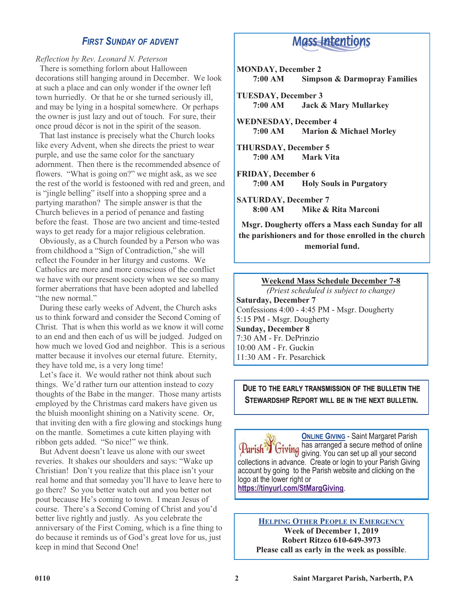# *FIRST SUNDAY OF ADVENT*

### *Reflection by Rev. Leonard N. Peterson*

 There is something forlorn about Halloween decorations still hanging around in December. We look at such a place and can only wonder if the owner left town hurriedly. Or that he or she turned seriously ill, and may be lying in a hospital somewhere. Or perhaps the owner is just lazy and out of touch. For sure, their once proud décor is not in the spirit of the season.

 That last instance is precisely what the Church looks like every Advent, when she directs the priest to wear purple, and use the same color for the sanctuary adornment. Then there is the recommended absence of flowers. "What is going on?" we might ask, as we see the rest of the world is festooned with red and green, and is "jingle belling" itself into a shopping spree and a partying marathon? The simple answer is that the Church believes in a period of penance and fasting before the feast. Those are two ancient and time-tested ways to get ready for a major religious celebration.

 Obviously, as a Church founded by a Person who was from childhood a "Sign of Contradiction," she will reflect the Founder in her liturgy and customs. We Catholics are more and more conscious of the conflict we have with our present society when we see so many former aberrations that have been adopted and labelled "the new normal."

 During these early weeks of Advent, the Church asks us to think forward and consider the Second Coming of Christ. That is when this world as we know it will come to an end and then each of us will be judged. Judged on how much we loved God and neighbor. This is a serious matter because it involves our eternal future. Eternity, they have told me, is a very long time!

 Let's face it. We would rather not think about such things. We'd rather turn our attention instead to cozy thoughts of the Babe in the manger. Those many artists employed by the Christmas card makers have given us the bluish moonlight shining on a Nativity scene. Or, that inviting den with a fire glowing and stockings hung on the mantle. Sometimes a cute kitten playing with ribbon gets added. "So nice!" we think.

 But Advent doesn't leave us alone with our sweet reveries. It shakes our shoulders and says: "Wake up Christian! Don't you realize that this place isn't your real home and that someday you'll have to leave here to go there? So you better watch out and you better not pout because He's coming to town. I mean Jesus of course. There's a Second Coming of Christ and you'd better live rightly and justly. As you celebrate the anniversary of the First Coming, which is a fine thing to do because it reminds us of God's great love for us, just keep in mind that Second One!

# **Mass-Intentions**

- **MONDAY, December 2 7:00 AM Simpson & Darmopray Families**
- **TUESDAY, December 3 7:00 AM Jack & Mary Mullarkey**
- **WEDNESDAY, December 4 7:00 AM Marion & Michael Morley**
- **THURSDAY, December 5 7:00 AM Mark Vita**
- **FRIDAY, December 6 7:00 AM Holy Souls in Purgatory**
- **SATURDAY, December 7 8:00 AM Mike & Rita Marconi**

**Msgr. Dougherty offers a Mass each Sunday for all the parishioners and for those enrolled in the church memorial fund.**

#### **Weekend Mass Schedule December 7-8**

*(Priest scheduled is subject to change)* **Saturday, December 7** Confessions 4:00 - 4:45 PM - Msgr. Dougherty 5:15 PM - Msgr. Dougherty **Sunday, December 8** 7:30 AM - Fr. DePrinzio  $10:00$  AM - Fr. Guckin. 11:30 AM - Fr. Pesarchick

# **DUE TO THE EARLY TRANSMISSION OF THE BULLETIN THE STEWARDSHIP REPORT WILL BE IN THE NEXT BULLETIN.**

**ONLINE GIVING** - Saint Margaret Parish has arranged a secure method of online Parish T Giving nas arranged a sound modern second collections in advance. Create or login to your Parish Giving account by going to the Parish website and clicking on the logo at the lower right or **<https://tinyurl.com/StMargGiving>**.

#### **HELPING OTHER PEOPLE IN EMERGENCY Week of December 1, 2019 Robert Ritzco 610-649-3973 Please call as early in the week as possible**.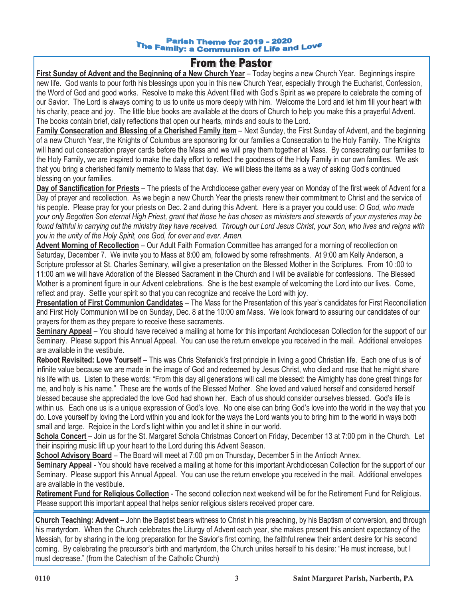#### **Parish Theme for 2019 - 2020** The Family: a Communion of Life and Love<br>The Family: a Communion of Life and Love

# **From the Pastor**

**First Sunday of Advent and the Beginning of a New Church Year** – Today begins a new Church Year. Beginnings inspire new life. God wants to pour forth his blessings upon you in this new Church Year, especially through the Eucharist, Confession, the Word of God and good works. Resolve to make this Advent filled with God's Spirit as we prepare to celebrate the coming of our Savior. The Lord is always coming to us to unite us more deeply with him. Welcome the Lord and let him fill your heart with his charity, peace and joy. The little blue books are available at the doors of Church to help you make this a prayerful Advent. The books contain brief, daily reflections that open our hearts, minds and souls to the Lord.

**Family Consecration and Blessing of a Cherished Family item** – Next Sunday, the First Sunday of Advent, and the beginning of a new Church Year, the Knights of Columbus are sponsoring for our families a Consecration to the Holy Family. The Knights will hand out consecration prayer cards before the Mass and we will pray them together at Mass. By consecrating our families to the Holy Family, we are inspired to make the daily effort to reflect the goodness of the Holy Family in our own families. We ask that you bring a cherished family memento to Mass that day. We will bless the items as a way of asking God's continued blessing on your families.

**Day of Sanctification for Priests** – The priests of the Archdiocese gather every year on Monday of the first week of Advent for a Day of prayer and recollection. As we begin a new Church Year the priests renew their commitment to Christ and the service of his people. Please pray for your priests on Dec. 2 and during this Advent. Here is a prayer you could use: *O God, who made your only Begotten Son eternal High Priest, grant that those he has chosen as ministers and stewards of your mysteries may be found faithful in carrying out the ministry they have received. Through our Lord Jesus Christ, your Son, who lives and reigns with you in the unity of the Holy Spirit, one God, for ever and ever. Amen.*

**Advent Morning of Recollection** – Our Adult Faith Formation Committee has arranged for a morning of recollection on Saturday, December 7. We invite you to Mass at 8:00 am, followed by some refreshments. At 9:00 am Kelly Anderson, a Scripture professor at St. Charles Seminary, will give a presentation on the Blessed Mother in the Scriptures. From 10 :00 to 11:00 am we will have Adoration of the Blessed Sacrament in the Church and I will be available for confessions. The Blessed Mother is a prominent figure in our Advent celebrations. She is the best example of welcoming the Lord into our lives. Come, reflect and pray. Settle your spirit so that you can recognize and receive the Lord with joy.

**Presentation of First Communion Candidates** – The Mass for the Presentation of this year's candidates for First Reconciliation and First Holy Communion will be on Sunday, Dec. 8 at the 10:00 am Mass. We look forward to assuring our candidates of our prayers for them as they prepare to receive these sacraments.

**Seminary Appeal** – You should have received a mailing at home for this important Archdiocesan Collection for the support of our Seminary. Please support this Annual Appeal. You can use the return envelope you received in the mail. Additional envelopes are available in the vestibule.

**Reboot Revisited: Love Yourself** – This was Chris Stefanick's first principle in living a good Christian life. Each one of us is of infinite value because we are made in the image of God and redeemed by Jesus Christ, who died and rose that he might share his life with us. Listen to these words: "From this day all generations will call me blessed: the Almighty has done great things for me, and holy is his name." These are the words of the Blessed Mother. She loved and valued herself and considered herself blessed because she appreciated the love God had shown her. Each of us should consider ourselves blessed. God's life is within us. Each one us is a unique expression of God's love. No one else can bring God's love into the world in the way that you do. Love yourself by loving the Lord within you and look for the ways the Lord wants you to bring him to the world in ways both small and large. Rejoice in the Lord's light within you and let it shine in our world.

**Schola Concert** – Join us for the St. Margaret Schola Christmas Concert on Friday, December 13 at 7:00 pm in the Church. Let their inspiring music lift up your heart to the Lord during this Advent Season.

**School Advisory Board** – The Board will meet at 7:00 pm on Thursday, December 5 in the Antioch Annex.

**Seminary Appeal** - You should have received a mailing at home for this important Archdiocesan Collection for the support of our Seminary. Please support this Annual Appeal. You can use the return envelope you received in the mail. Additional envelopes are available in the vestibule.

**Retirement Fund for Religious Collection** - The second collection next weekend will be for the Retirement Fund for Religious. Please support this important appeal that helps senior religious sisters received proper care.

**Church Teaching: Advent** – John the Baptist bears witness to Christ in his preaching, by his Baptism of conversion, and through his martyrdom. When the Church celebrates the Liturgy of Advent each year, she makes present this ancient expectancy of the Messiah, for by sharing in the long preparation for the Savior's first coming, the faithful renew their ardent desire for his second coming. By celebrating the precursor's birth and martyrdom, the Church unites herself to his desire: "He must increase, but I must decrease." (from the Catechism of the Catholic Church)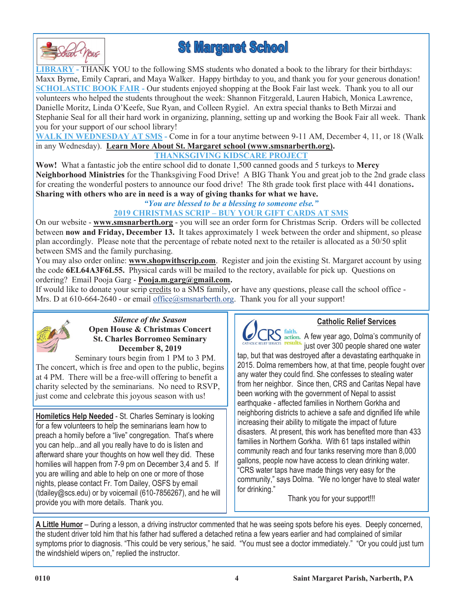



**LIBRARY -** THANK YOU to the following SMS students who donated a book to the library for their birthdays: Maxx Byrne, Emily Caprari, and Maya Walker. Happy birthday to you, and thank you for your generous donation! **SCHOLASTIC BOOK FAIR - Our students enjoyed shopping at the Book Fair last week. Thank you to all our** volunteers who helped the students throughout the week: Shannon Fitzgerald, Lauren Habich, Monica Lawrence, Danielle Moritz, Linda O'Keefe, Sue Ryan, and Colleen Rygiel. An extra special thanks to Beth Mirzai and Stephanie Seal for all their hard work in organizing, planning, setting up and working the Book Fair all week. Thank you for your support of our school library!

**WALK IN WEDNESDAY AT SMS -** Come in for a tour anytime between 9-11 AM, December 4, 11, or 18 (Walk in any Wednesday). **Learn More About St. Margaret school [\(www.smsnarberth.org\)](http://www.smsnarberth.org_).**

# **THANKSGIVING KIDSCARE PROJECT**

**Wow!** What a fantastic job the entire school did to donate 1,500 canned goods and 5 turkeys to **Mercy Neighborhood Ministries** for the Thanksgiving Food Drive! A BIG Thank You and great job to the 2nd grade class for creating the wonderful posters to announce our food drive! The 8th grade took first place with 441 donations**. Sharing with others who are in need is a way of giving thanks for what we have.**

#### *"You are blessed to be a blessing to someone else."* **2019 CHRISTMAS SCRIP – BUY YOUR GIFT CARDS AT SMS**

On our website - **www.smsnarberth.org** - you will see an order form for Christmas Scrip. Orders will be collected between **now and Friday, December 13.** It takes approximately 1 week between the order and shipment, so please plan accordingly. Please note that the percentage of rebate noted next to the retailer is allocated as a 50/50 split

between SMS and the family purchasing.

You may also order online: **[www.shopwithscrip.com](http://www.shopwithscrip.com)**. Register and join the existing St. Margaret account by using the code **6EL64A3F6L55.** Physical cards will be mailed to the rectory, available for pick up. Questions on ordering? Email Pooja Garg - **Pooja.m.garg@gmail.com.**

If would like to donate your scrip credits to a SMS family, or have any questions, please call the school office - Mrs. D at  $610-664-2640$  - or email [office@smsnarberth.org.](mailto:office@smsnarberth.org) Thank you for all your support!



*Silence of the Season* **Open House & Christmas Concert St. Charles Borromeo Seminary December 8, 2019**

Seminary tours begin from 1 PM to 3 PM. The concert, which is free and open to the public, begins at 4 PM. There will be a free-will offering to benefit a charity selected by the seminarians. No need to RSVP, just come and celebrate this joyous season with us!

**Homiletics Help Needed** - St. Charles Seminary is looking for a few volunteers to help the seminarians learn how to preach a homily before a "live" congregation. That's where you can help...and all you really have to do is listen and afterward share your thoughts on how well they did. These homilies will happen from 7-9 pm on December 3,4 and 5. If you are willing and able to help on one or more of those nights, please contact Fr. Tom Dailey, OSFS by email (tdailey@scs.edu) or by voicemail (610-7856267), and he will provide you with more details. Thank you.



# **Catholic Relief Services**

RS faith.<br>RS action. A few year ago, Dolma's community of **SERVICES FESULIS.** just over 300 people shared one water

tap, but that was destroyed after a devastating earthquake in 2015. Dolma remembers how, at that time, people fought over any water they could find. She confesses to stealing water from her neighbor. Since then, CRS and Caritas Nepal have been working with the government of Nepal to assist earthquake - affected families in Northern Gorkha and neighboring districts to achieve a safe and dignified life while increasing their ability to mitigate the impact of future disasters. At present, this work has benefited more than 433 families in Northern Gorkha. With 61 taps installed within community reach and four tanks reserving more than 8,000 gallons, people now have access to clean drinking water. "CRS water taps have made things very easy for the community," says Dolma. "We no longer have to steal water for drinking."

Thank you for your support!!!

**A Little Humor** – During a lesson, a driving instructor commented that he was seeing spots before his eyes. Deeply concerned, the student driver told him that his father had suffered a detached retina a few years earlier and had complained of similar symptoms prior to diagnosis. "This could be very serious," he said. "You must see a doctor immediately." "Or you could just turn the windshield wipers on," replied the instructor.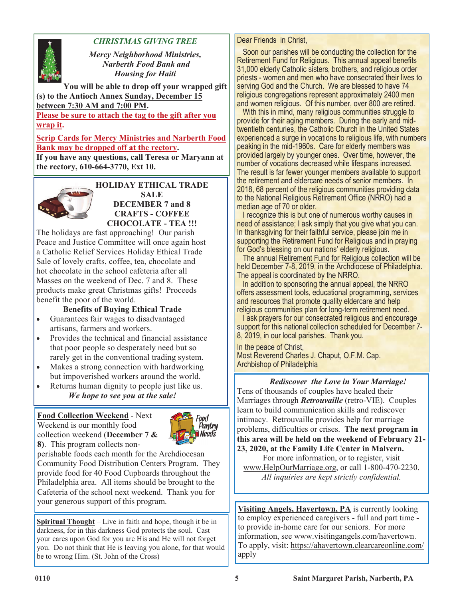

# *CHRISTMAS GIVING TREE*

*Mercy Neighborhood Ministries, Narberth Food Bank and Housing for Haiti*

**You will be able to drop off your wrapped gift (s) to the Antioch Annex Sunday, December 15 between 7:30 AM and 7:00 PM.** 

**Please be sure to attach the tag to the gift after you wrap it.**

**Scrip Cards for Mercy Ministries and Narberth Food Bank may be dropped off at the rectory.** 

**If you have any questions, call Teresa or Maryann at the rectory, 610-664-3770, Ext 10.**



**HOLIDAY ETHICAL TRADE SALE DECEMBER 7 and 8 CRAFTS - COFFEE CHOCOLATE - TEA !!!**

The holidays are fast approaching! Our parish Peace and Justice Committee will once again host a Catholic Relief Services Holiday Ethical Trade Sale of lovely crafts, coffee, tea, chocolate and hot chocolate in the school cafeteria after all Masses on the weekend of Dec. 7 and 8. These products make great Christmas gifts! Proceeds benefit the poor of the world.

# **Benefits of Buying Ethical Trade**

- Guarantees fair wages to disadvantaged artisans, farmers and workers.
- Provides the technical and financial assistance that poor people so desperately need but so rarely get in the conventional trading system.
- Makes a strong connection with hardworking but impoverished workers around the world.
- Returns human dignity to people just like us. *We hope to see you at the sale!*

# **Food Collection Weekend** - Next

Weekend is our monthly food collection weekend (**December 7 & 8)**.This program collects non-



perishable foods each month for the Archdiocesan Community Food Distribution Centers Program. They provide food for 40 Food Cupboards throughout the Philadelphia area. All items should be brought to the Cafeteria of the school next weekend. Thank you for your generous support of this program.

**Spiritual Thought** – Live in faith and hope, though it be in darkness, for in this darkness God protects the soul. Cast your cares upon God for you are His and He will not forget you. Do not think that He is leaving you alone, for that would be to wrong Him. (St. John of the Cross)

Dear Friends in Christ,

 Soon our parishes will be conducting the collection for the Retirement Fund for Religious. This annual appeal benefits 31,000 elderly Catholic sisters, brothers, and religious order priests - women and men who have consecrated their lives to serving God and the Church. We are blessed to have 74 religious congregations represent approximately 2400 men and women religious. Of this number, over 800 are retired.

With this in mind, many religious communities struggle to provide for their aging members. During the early and midtwentieth centuries, the Catholic Church in the United States experienced a surge in vocations to religious life, with numbers peaking in the mid-1960s. Care for elderly members was provided largely by younger ones. Over time, however, the number of vocations decreased while lifespans increased. The result is far fewer younger members available to support the retirement and eldercare needs of senior members. In 2018, 68 percent of the religious communities providing data to the National Religious Retirement Office (NRRO) had a median age of 70 or older.

 I recognize this is but one of numerous worthy causes in need of assistance; I ask simply that you give what you can. In thanksgiving for their faithful service, please join me in supporting the Retirement Fund for Religious and in praying for God's blessing on our nations' elderly religious.

 The annual Retirement Fund for Religious collection will be held December 7-8, 2019, in the Archdiocese of Philadelphia. The appeal is coordinated by the NRRO.

 In addition to sponsoring the annual appeal, the NRRO offers assessment tools, educational programming, services and resources that promote quality eldercare and help religious communities plan for long-term retirement need.

I ask prayers for our consecrated religious and encourage support for this national collection scheduled for December 7- 8, 2019, in our local parishes. Thank you.

In the peace of Christ, Most Reverend Charles J. Chaput, O.F.M. Cap. Archbishop of Philadelphia

*Rediscover the Love in Your Marriage!* Tens of thousands of couples have healed their Marriages through *Retrouvaille* (retro-VIE). Couples learn to build communication skills and rediscover intimacy. Retrouvaille provides help for marriage problems, difficulties or crises. **The next program in this area will be held on the weekend of February 21- 23, 2020, at the Family Life Center in Malvern.**

For more information, or to register, visit www.HelpOurMarriage.org, or call 1-800-470-2230. *All inquiries are kept strictly confidential.*

**Visiting Angels, Havertown, PA** is currently looking to employ experienced caregivers - full and part time to provide in-home care for our seniors. For more information, see www.visitingangels.com/havertown. To apply, visit: https://ahavertown.clearcareonline.com/ apply